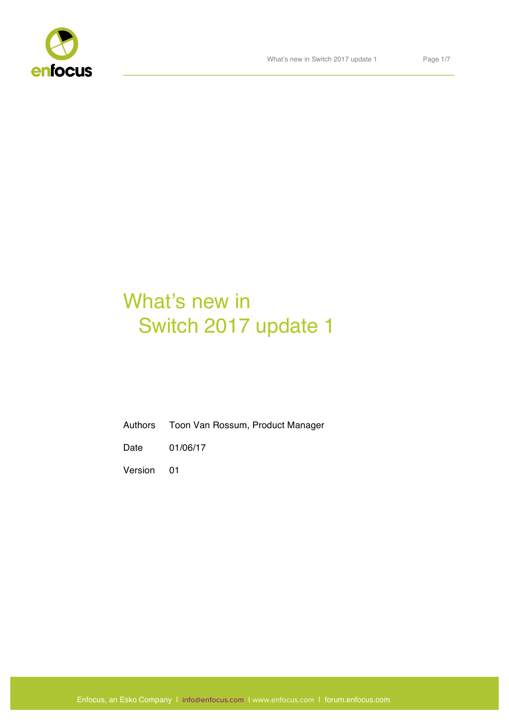

# What's new in Switch 2017 update 1

Authors Toon Van Rossum, Product Manager

Date 01/06/17

Version 01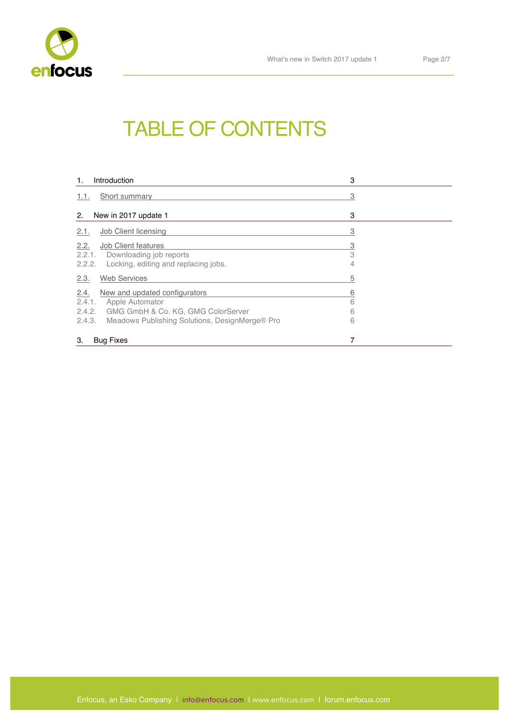

# TABLE OF CONTENTS

| Introduction<br>1.                                                                                                                                                          | 3                  |
|-----------------------------------------------------------------------------------------------------------------------------------------------------------------------------|--------------------|
| Short summary<br>1.1.                                                                                                                                                       | 3                  |
| New in 2017 update 1<br>2.                                                                                                                                                  | 3                  |
| Job Client licensing<br>2.1.                                                                                                                                                | 3                  |
| 2.2.<br><b>Job Client features</b><br>2.2.1. Downloading job reports<br>2.2.2. Locking, editing and replacing jobs.                                                         | $\frac{3}{3}$<br>4 |
| <b>Web Services</b><br>2.3.                                                                                                                                                 | 5                  |
| 2.4.<br>New and updated configurators<br>2.4.1.<br>Apple Automator<br>2.4.2. GMG GmbH & Co. KG, GMG ColorServer<br>Meadows Publishing Solutions, DesignMerge® Pro<br>2.4.3. | 6<br>6<br>6<br>6   |
| 7<br>3.<br><b>Bug Fixes</b>                                                                                                                                                 |                    |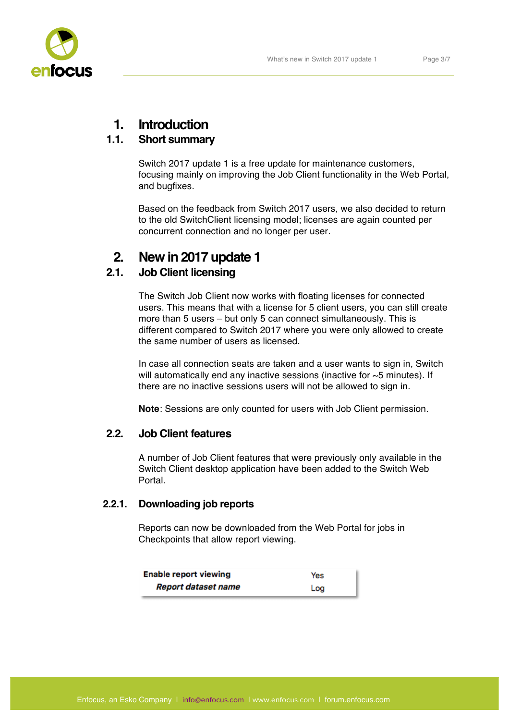

# **1. Introduction**

# **1.1. Short summary**

Switch 2017 update 1 is a free update for maintenance customers, focusing mainly on improving the Job Client functionality in the Web Portal, and bugfixes.

Based on the feedback from Switch 2017 users, we also decided to return to the old SwitchClient licensing model; licenses are again counted per concurrent connection and no longer per user.

# **2. New in 2017 update 1**

# **2.1. Job Client licensing**

The Switch Job Client now works with floating licenses for connected users. This means that with a license for 5 client users, you can still create more than 5 users – but only 5 can connect simultaneously. This is different compared to Switch 2017 where you were only allowed to create the same number of users as licensed.

In case all connection seats are taken and a user wants to sign in, Switch will automatically end any inactive sessions (inactive for ~5 minutes). If there are no inactive sessions users will not be allowed to sign in.

**Note**: Sessions are only counted for users with Job Client permission.

## **2.2. Job Client features**

A number of Job Client features that were previously only available in the Switch Client desktop application have been added to the Switch Web Portal.

## **2.2.1. Downloading job reports**

Reports can now be downloaded from the Web Portal for jobs in Checkpoints that allow report viewing.

| <b>Enable report viewing</b> | Yes |
|------------------------------|-----|
| Report dataset name          | Log |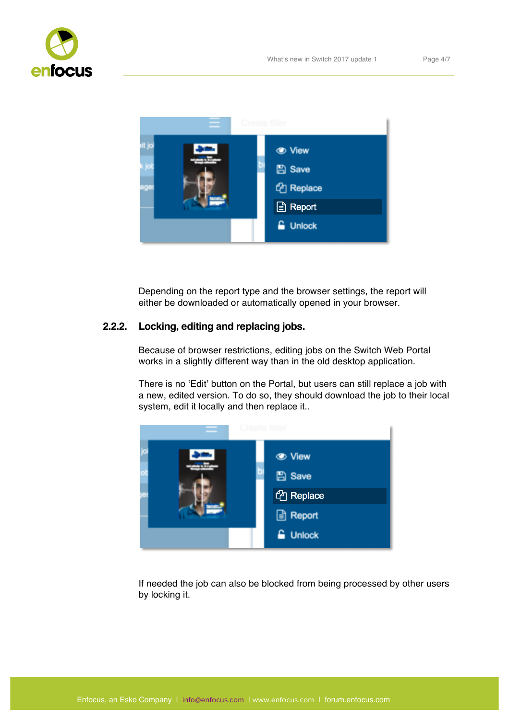



Depending on the report type and the browser settings, the report will either be downloaded or automatically opened in your browser.

#### **2.2.2. Locking, editing and replacing jobs.**

Because of browser restrictions, editing jobs on the Switch Web Portal works in a slightly different way than in the old desktop application.

There is no 'Edit' button on the Portal, but users can still replace a job with a new, edited version. To do so, they should download the job to their local system, edit it locally and then replace it..



If needed the job can also be blocked from being processed by other users by locking it.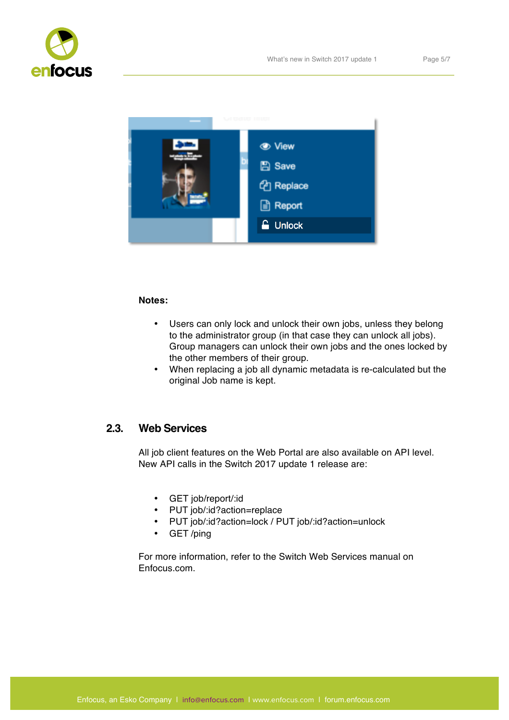



#### **Notes:**

- Users can only lock and unlock their own jobs, unless they belong to the administrator group (in that case they can unlock all jobs). Group managers can unlock their own jobs and the ones locked by the other members of their group.
- When replacing a job all dynamic metadata is re-calculated but the original Job name is kept.

## **2.3. Web Services**

All job client features on the Web Portal are also available on API level. New API calls in the Switch 2017 update 1 release are:

- GET job/report/:id
- PUT job/:id?action=replace
- PUT job/:id?action=lock / PUT job/:id?action=unlock
- GET /ping

For more information, refer to the Switch Web Services manual on Enfocus.com.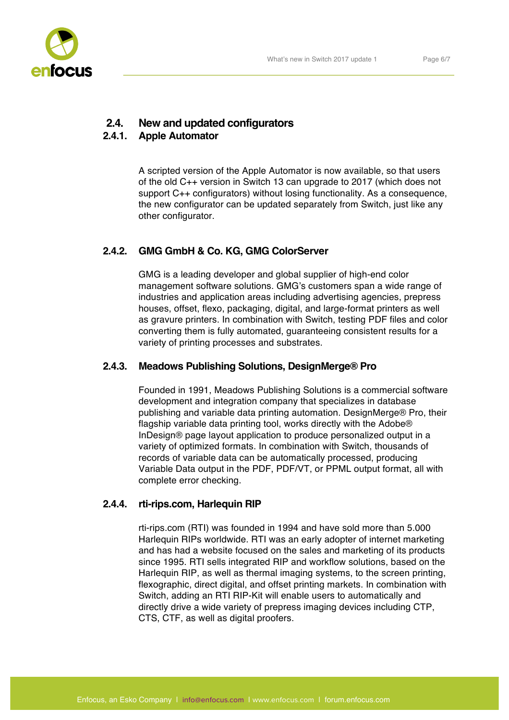# **2.4. New and updated configurators**

# **2.4.1. Apple Automator**

A scripted version of the Apple Automator is now available, so that users of the old C++ version in Switch 13 can upgrade to 2017 (which does not support C++ configurators) without losing functionality. As a consequence, the new configurator can be updated separately from Switch, just like any other configurator.

# **2.4.2. GMG GmbH & Co. KG, GMG ColorServer**

GMG is a leading developer and global supplier of high-end color management software solutions. GMG's customers span a wide range of industries and application areas including advertising agencies, prepress houses, offset, flexo, packaging, digital, and large-format printers as well as gravure printers. In combination with Switch, testing PDF files and color converting them is fully automated, guaranteeing consistent results for a variety of printing processes and substrates.

# **2.4.3. Meadows Publishing Solutions, DesignMerge® Pro**

Founded in 1991, Meadows Publishing Solutions is a commercial software development and integration company that specializes in database publishing and variable data printing automation. DesignMerge® Pro, their flagship variable data printing tool, works directly with the Adobe® InDesign® page layout application to produce personalized output in a variety of optimized formats. In combination with Switch, thousands of records of variable data can be automatically processed, producing Variable Data output in the PDF, PDF/VT, or PPML output format, all with complete error checking.

# **2.4.4. rti-rips.com, Harlequin RIP**

rti-rips.com (RTI) was founded in 1994 and have sold more than 5.000 Harlequin RIPs worldwide. RTI was an early adopter of internet marketing and has had a website focused on the sales and marketing of its products since 1995. RTI sells integrated RIP and workflow solutions, based on the Harlequin RIP, as well as thermal imaging systems, to the screen printing, flexographic, direct digital, and offset printing markets. In combination with Switch, adding an RTI RIP-Kit will enable users to automatically and directly drive a wide variety of prepress imaging devices including CTP, CTS, CTF, as well as digital proofers.